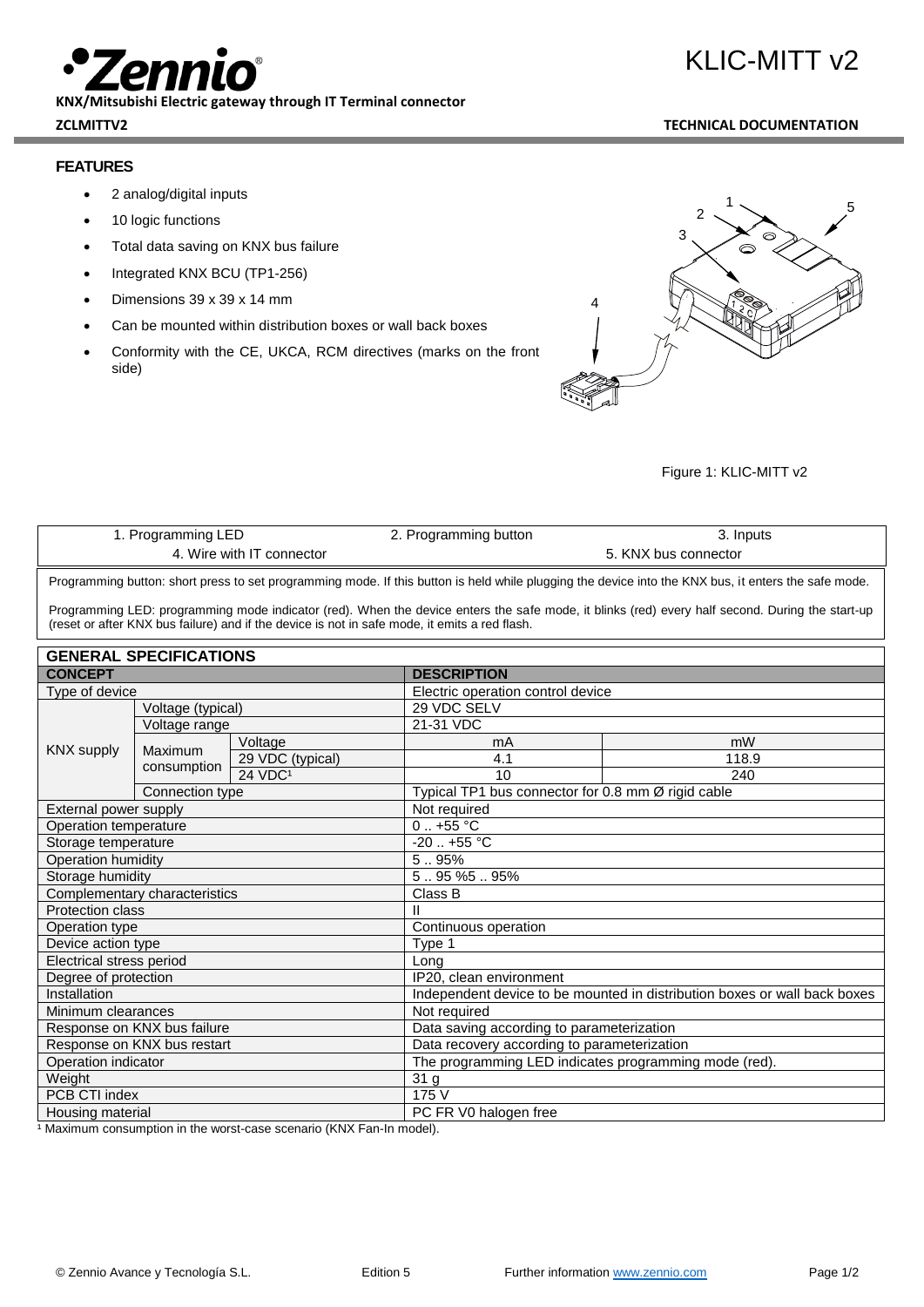**KNX/Mitsubishi Electric gateway through IT Terminal connector ZCLMITTV2 TECHNICAL DOCUMENTATION**

# **FEATURES**

- 2 analog/digital inputs
- 10 logic functions
- Total data saving on KNX bus failure
- Integrated KNX BCU (TP1-256)
- Dimensions 39 x 39 x 14 mm
- Can be mounted within distribution boxes or wall back boxes
- Conformity with the CE, UKCA, RCM directives (marks on the front side)



### Figure 1: KLIC-MITT v2

| 1. Programming LED        | 2. Programming button | 3. Inputs            |
|---------------------------|-----------------------|----------------------|
| 4. Wire with IT connector |                       | 5. KNX bus connector |
|                           |                       |                      |

Programming button: short press to set programming mode. If this button is held while plugging the device into the KNX bus, it enters the safe mode.

Programming LED: programming mode indicator (red). When the device enters the safe mode, it blinks (red) every half second. During the start-up (reset or after KNX bus failure) and if the device is not in safe mode, it emits a red flash.

| <b>GENERAL SPECIFICATIONS</b> |                        |                                                                           |                                   |                                                    |  |
|-------------------------------|------------------------|---------------------------------------------------------------------------|-----------------------------------|----------------------------------------------------|--|
| <b>CONCEPT</b>                |                        | <b>DESCRIPTION</b>                                                        |                                   |                                                    |  |
| Type of device                |                        |                                                                           | Electric operation control device |                                                    |  |
| <b>KNX supply</b>             | Voltage (typical)      |                                                                           | 29 VDC SELV                       |                                                    |  |
|                               | Voltage range          |                                                                           | 21-31 VDC                         |                                                    |  |
|                               | Maximum<br>consumption | Voltage                                                                   | mA                                | mW                                                 |  |
|                               |                        | 29 VDC (typical)                                                          | 4.1                               | 118.9                                              |  |
|                               |                        | 24 VDC <sup>1</sup>                                                       | 10                                | 240                                                |  |
|                               | Connection type        |                                                                           |                                   | Typical TP1 bus connector for 0.8 mm Ø rigid cable |  |
| External power supply         |                        |                                                                           | Not required                      |                                                    |  |
| Operation temperature         |                        |                                                                           | $0.1 + 55$ °C                     |                                                    |  |
| Storage temperature           |                        |                                                                           |                                   | $-20$ $+55$ °C                                     |  |
| Operation humidity            |                        | 5.95%                                                                     |                                   |                                                    |  |
| Storage humidity              |                        | $5.95\%5.95\%$                                                            |                                   |                                                    |  |
| Complementary characteristics |                        |                                                                           | Class B                           |                                                    |  |
| <b>Protection class</b>       |                        | Ш                                                                         |                                   |                                                    |  |
| Operation type                |                        | Continuous operation                                                      |                                   |                                                    |  |
| Device action type            |                        | Type 1                                                                    |                                   |                                                    |  |
| Electrical stress period      |                        | Long                                                                      |                                   |                                                    |  |
| Degree of protection          |                        | IP20, clean environment                                                   |                                   |                                                    |  |
| Installation                  |                        | Independent device to be mounted in distribution boxes or wall back boxes |                                   |                                                    |  |
| Minimum clearances            |                        | Not required                                                              |                                   |                                                    |  |
| Response on KNX bus failure   |                        | Data saving according to parameterization                                 |                                   |                                                    |  |
| Response on KNX bus restart   |                        | Data recovery according to parameterization                               |                                   |                                                    |  |
| Operation indicator           |                        | The programming LED indicates programming mode (red).                     |                                   |                                                    |  |
| Weight                        |                        | 31 g                                                                      |                                   |                                                    |  |
| PCB CTI index                 |                        | 175 V                                                                     |                                   |                                                    |  |
| Housing material              |                        | PC FR V0 halogen free                                                     |                                   |                                                    |  |

<sup>1</sup> Maximum consumption in the worst-case scenario (KNX Fan-In model).

KLIC-MITT v2